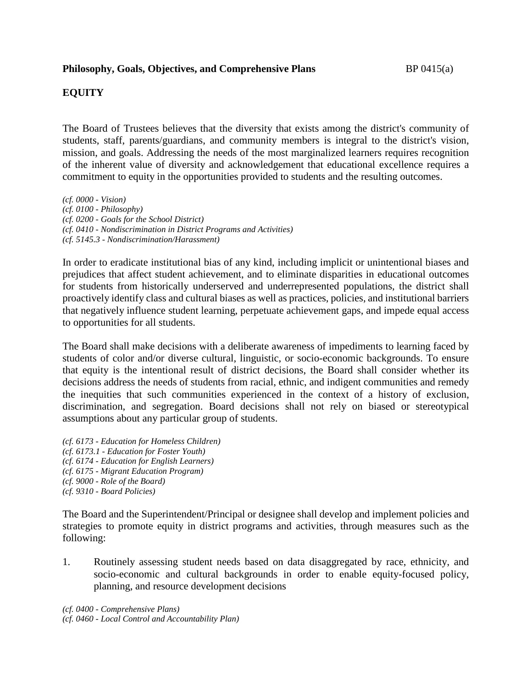# **EQUITY**

The Board of Trustees believes that the diversity that exists among the district's community of students, staff, parents/guardians, and community members is integral to the district's vision, mission, and goals. Addressing the needs of the most marginalized learners requires recognition of the inherent value of diversity and acknowledgement that educational excellence requires a commitment to equity in the opportunities provided to students and the resulting outcomes.

*(cf. 0000 - Vision) (cf. 0100 - Philosophy) (cf. 0200 - Goals for the School District) (cf. 0410 - Nondiscrimination in District Programs and Activities) (cf. 5145.3 - Nondiscrimination/Harassment)*

In order to eradicate institutional bias of any kind, including implicit or unintentional biases and prejudices that affect student achievement, and to eliminate disparities in educational outcomes for students from historically underserved and underrepresented populations, the district shall proactively identify class and cultural biases as well as practices, policies, and institutional barriers that negatively influence student learning, perpetuate achievement gaps, and impede equal access to opportunities for all students.

The Board shall make decisions with a deliberate awareness of impediments to learning faced by students of color and/or diverse cultural, linguistic, or socio-economic backgrounds. To ensure that equity is the intentional result of district decisions, the Board shall consider whether its decisions address the needs of students from racial, ethnic, and indigent communities and remedy the inequities that such communities experienced in the context of a history of exclusion, discrimination, and segregation. Board decisions shall not rely on biased or stereotypical assumptions about any particular group of students.

*(cf. 6173 - Education for Homeless Children) (cf. 6173.1 - Education for Foster Youth) (cf. 6174 - Education for English Learners) (cf. 6175 - Migrant Education Program) (cf. 9000 - Role of the Board) (cf. 9310 - Board Policies)*

The Board and the Superintendent/Principal or designee shall develop and implement policies and strategies to promote equity in district programs and activities, through measures such as the following:

1. Routinely assessing student needs based on data disaggregated by race, ethnicity, and socio-economic and cultural backgrounds in order to enable equity-focused policy, planning, and resource development decisions

*(cf. 0400 - Comprehensive Plans) (cf. 0460 - Local Control and Accountability Plan)*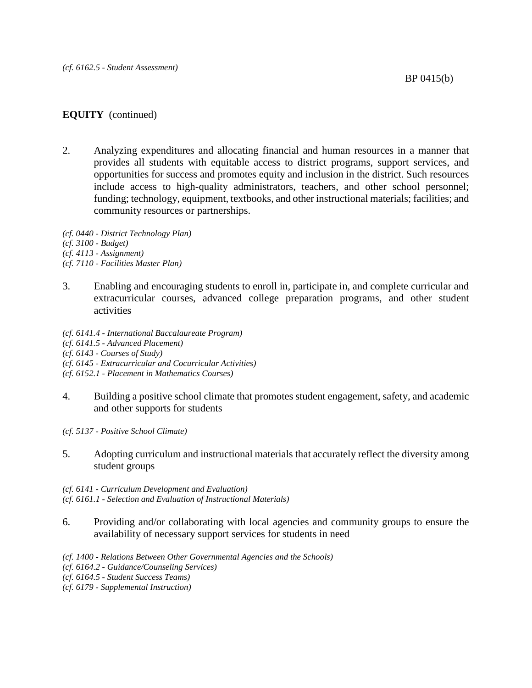# **EQUITY** (continued)

2. Analyzing expenditures and allocating financial and human resources in a manner that provides all students with equitable access to district programs, support services, and opportunities for success and promotes equity and inclusion in the district. Such resources include access to high-quality administrators, teachers, and other school personnel; funding; technology, equipment, textbooks, and other instructional materials; facilities; and community resources or partnerships.

*(cf. 0440 - District Technology Plan) (cf. 3100 - Budget) (cf. 4113 - Assignment) (cf. 7110 - Facilities Master Plan)*

- 3. Enabling and encouraging students to enroll in, participate in, and complete curricular and extracurricular courses, advanced college preparation programs, and other student activities
- *(cf. 6141.4 - International Baccalaureate Program) (cf. 6141.5 - Advanced Placement) (cf. 6143 - Courses of Study) (cf. 6145 - Extracurricular and Cocurricular Activities) (cf. 6152.1 - Placement in Mathematics Courses)*
- 4. Building a positive school climate that promotes student engagement, safety, and academic and other supports for students
- *(cf. 5137 - Positive School Climate)*
- 5. Adopting curriculum and instructional materials that accurately reflect the diversity among student groups

*(cf. 6141 - Curriculum Development and Evaluation) (cf. 6161.1 - Selection and Evaluation of Instructional Materials)*

- 6. Providing and/or collaborating with local agencies and community groups to ensure the availability of necessary support services for students in need
- *(cf. 1400 - Relations Between Other Governmental Agencies and the Schools)*
- *(cf. 6164.2 - Guidance/Counseling Services)*
- *(cf. 6164.5 - Student Success Teams)*
- *(cf. 6179 - Supplemental Instruction)*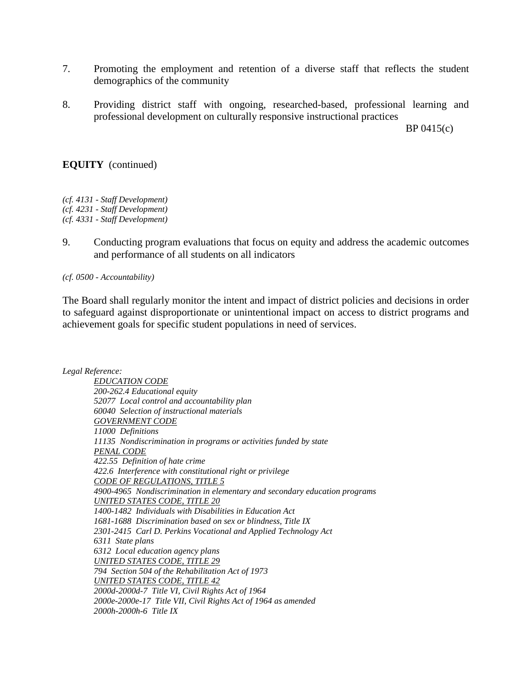- 7. Promoting the employment and retention of a diverse staff that reflects the student demographics of the community
- 8. Providing district staff with ongoing, researched-based, professional learning and professional development on culturally responsive instructional practices

BP 0415(c)

## **EQUITY** (continued)

*(cf. 4131 - Staff Development) (cf. 4231 - Staff Development) (cf. 4331 - Staff Development)*

9. Conducting program evaluations that focus on equity and address the academic outcomes and performance of all students on all indicators

*(cf. 0500 - Accountability)*

The Board shall regularly monitor the intent and impact of district policies and decisions in order to safeguard against disproportionate or unintentional impact on access to district programs and achievement goals for specific student populations in need of services.

*Legal Reference:*

*EDUCATION CODE 200-262.4 Educational equity 52077 Local control and accountability plan 60040 Selection of instructional materials GOVERNMENT CODE 11000 Definitions 11135 Nondiscrimination in programs or activities funded by state PENAL CODE 422.55 Definition of hate crime 422.6 Interference with constitutional right or privilege CODE OF REGULATIONS, TITLE 5 4900-4965 Nondiscrimination in elementary and secondary education programs UNITED STATES CODE, TITLE 20 1400-1482 Individuals with Disabilities in Education Act 1681-1688 Discrimination based on sex or blindness, Title IX 2301-2415 Carl D. Perkins Vocational and Applied Technology Act 6311 State plans 6312 Local education agency plans UNITED STATES CODE, TITLE 29 794 Section 504 of the Rehabilitation Act of 1973 UNITED STATES CODE, TITLE 42 2000d-2000d-7 Title VI, Civil Rights Act of 1964 2000e-2000e-17 Title VII, Civil Rights Act of 1964 as amended 2000h-2000h-6 Title IX*